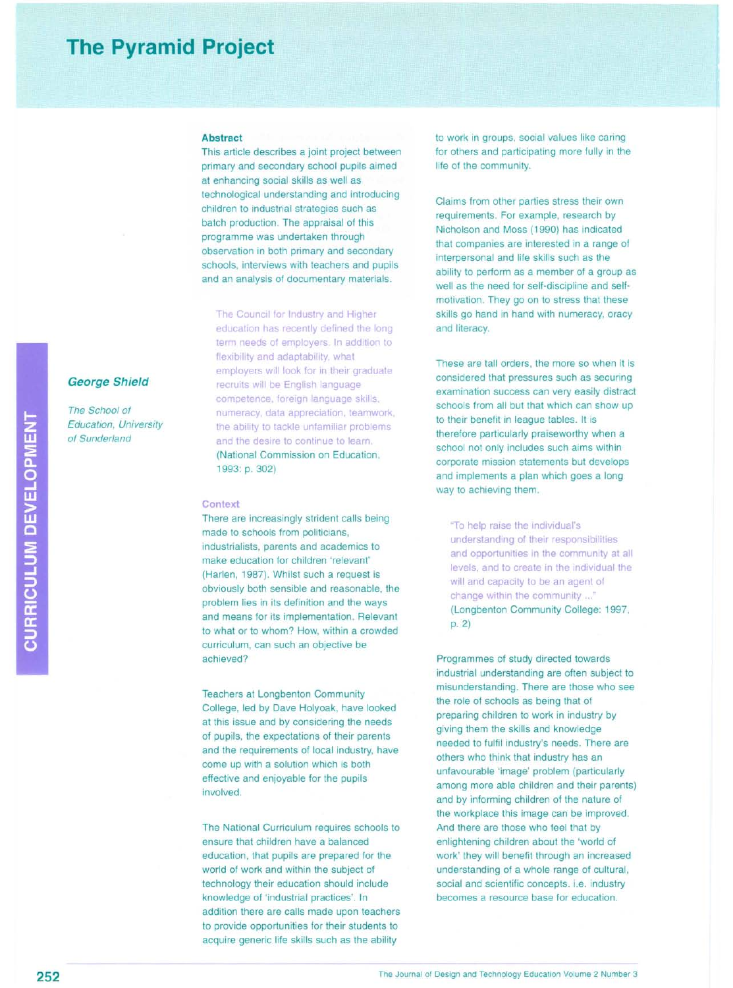# **The Pyramid Project**

#### **Abstract**

This article describes a joint project between primary and secondary school pupils aimed at enhancing social skills as well as technological understanding and introducing children to industrial strategies such as batch production. The appraisal of this programme was undertaken through observation in both primary and secondary schools, interviews with teachers and pupils and an analysis of documentary materials.

The Council for Industry and Higher education has recently defined the long term needs of employers. In addition to flexibility and adaptability, what employers will look for in their graduate recruits will be English language competence, foreign language skills, numeracy, data appreciation, teamwork the ability to tackle unfamiliar problems and the desire to continue to learn. (National Commission on Education, 1993: p. 302)

## **Context**

There are increasingly strident calls being made to schools from politicians, industrialists, parents and academics to make education for children 'relevant' (Harlen, 1987). Whilst such a request is obviously both sensible and reasonable, the problem lies in its definition and the ways and means for its implementation. Relevant to what or to whom? How, within a crowded curriculum, can such an objective be achieved?

Teachers at Longbenton Community College, led by Dave Holyoak, have looked at this issue and by considering the needs of pupils, the expectations of their parents and the requirements of local industry, have come up with a solution which is both effective and enjoyable for the pupils involved.

The National Curriculum requires schools to ensure that children have a balanced education, that pupils are prepared for the world of work and within the subject of technology their education should include knowledge of 'industrial practices'. In addition there are calls made upon teachers to provide opportunities for their students to acquire generic life skills such as the ability

to work in groups, social values like caring for others and participating more fully in the life of the community.

Claims from other parties stress their own requirements. For example, research by Nicholson and Moss (1990) has indicated that companies are interested in a range of interpersonal and life skills such as the ability to perform as a member of a group as well as the need for self-discipline and selfmotivation. They go on to stress that these skills go hand in hand with numeracy, oracy and literacy.

These are tall orders, the more so when it is considered that pressures such as securing examination success can very easily distract schools from all but that which can show up to their benefit in league tables. It is therefore particularly praiseworthy when a school not only includes such aims within corporate mission statements but develops and implements a plan which goes a long way to achieving them.

"To help raise the individual's understanding of their responsibilities and opportunities in the community at all levels, and to create in the individual the will and capacity to be an agent of change within the community ..." (Longbenton Community College: 1997, p.2)

Programmes of study directed towards industrial understanding are often subject to misunderstanding. There are those who see the role of schools as being that of preparing children to work in industry by giving them the skills and knowledge needed to fulfil industry's needs. There are others who think that industry has an unfavourable 'image' problem (particularly among more able children and their parents) and by informing children of the nature of the workplace this image can be improved. And there are those who feel that by enlightening children about the 'world of work' they will benefit through an increased understanding of a whole range of cultural, social and scientific concepts. i.e. industry becomes a resource base for education.

*The School of Education, University of Sunderland*

**George Shield**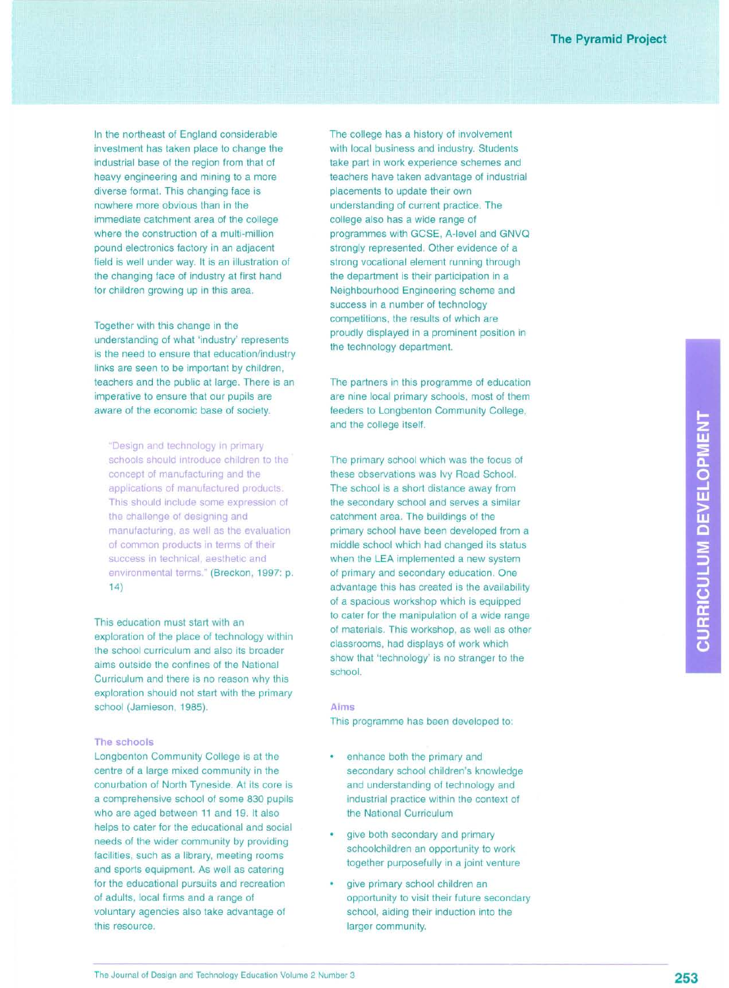In the northeast of England considerable investment has taken place to change the industrial base of the region from that of heavy engineering and mining to a more diverse format. This changing face is nowhere more obvious than in the immediate catchment area of the college where the construction of a multi-million pound electronics factory in an adjacent field is well under way. It is an illustration of the changing face of industry at first hand for children growing up in this area.

Together with this change in the understanding of what 'industry' represents is the need to ensure that education/industry links are seen to be important by children, teachers and the public at large. There is an imperative to ensure that our pupils are aware of the economic base of society.

"DeSign and technology in primary schools should introduce children to the concept of manufacturing and the applications of manufactured products. This should include some expression of the challenge of designing and manufacturing, as well as the evaluation of common products in terms of their success in technical, aesthetic and environmental terms." (Breckon, 1997: p. 14)

This education must start with an exploration of the place of technology within the school curriculum and also its broader aims outside the confines of the National Curriculum and there is no reason why this exploration should not start with the primary school (Jamieson, 1985).

## **The schools**

Longbenton Community College is at the centre of a large mixed community in the conurbation of North Tyneside. At its core is a comprehensive school of some 830 pupils who are aged between 11 and 19. It also helps to cater for the educational and social needs of the wider community by providing facilities, such as a library, meeting rooms and sports equipment. As well as catering for the educational pursuits and recreation of adults, local firms and a range of voluntary agencies also take advantage of this resource.

The college has a history of involvement with local business and industry. Students take part in work experience schemes and teachers have taken advantage of industrial placements to update their own understanding of current practice. The college also has a wide range of programmes with GCSE, A-level and GNVQ strongly represented. Other evidence of a strong vocational element running through the department is their participation in a Neighbourhood Engineering scheme and success in a number of technology competitions, the results of which are proudly displayed in a prominent position in the technology department.

The partners in this programme of education are nine local primary schools, most of them feeders to Longbenton Community College, and the college itself.

The primary school which was the focus of these observations was Ivy Road School. The school is a short distance away from the secondary school and serves a similar catchment area. The buildings of the primary school have been developed from a middle school which had changed its status when the LEA implemented a new system of primary and secondary education. One advantage this has created is the availability of a spacious workshop which is equipped to cater for the manipulation of a wide range of materials. This workshop, as well as other classrooms, had displays of work which show that 'technology' is no stranger to the school.

### **Aims**

This programme has been developed to:

- enhance both the primary and secondary school children's knowledge and understanding of technology and industrial practice within the context of the National Curriculum
- give both secondary and primary schoolchildren an opportunity to work together purposefully in a joint venture
- give primary school children an opportunity to visit their future secondary school, aiding their induction into the larger community.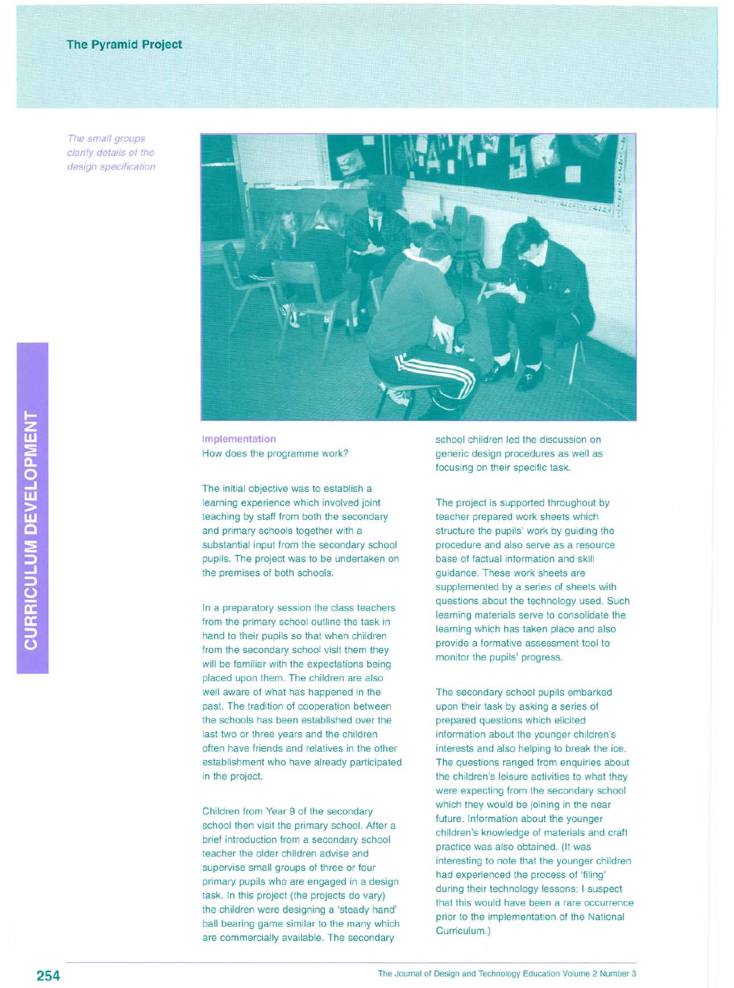*The small groups clarify details of the design specification*



**Implementation** How does the programme work?

The initial objective was to establish a learning experience which involved joint teaching by staff from both the secondary and primary schools together with a substantial input from the secondary school pupils. The project was to be undertaken on the premises of both schools.

In a preparatory session the class teachers from the primary school outline the task in hand to their pupils so that when children from the secondary school visit them they will be familiar with the expectations being placed upon them. The children are also well aware of what has happened in the past. The tradition of cooperation between the schools has been established over the last two or three years and the children often have friends and relatives in the other establishment who have already participated in the project.

Children from Year 9 of the secondary school then visit the primary school. After a brief introduction from a secondary school teacher the older children advise and supervise small groups of three or four primary pupils who are engaged in a design task. In this project (the projects do vary) the children were designing a 'steady hand' ball bearing game similar to the many which are commercially available. The secondary

school children led the discussion on generic design procedures as well as focusing on their specific task.

The project is supported throughout by teacher prepared work sheets which structure the pupils' work by guiding the procedure and also serve as a resource base of factual information and skill guidance. These work sheets are supplemented by a series of sheets with questions about the technology used. Such learning materials serve to consolidate the learning which has taken place and also provide a formative assessment tool to monitor the pupils' progress.

The secondary school pupils embarked upon their task by asking a series of prepared questions which elicited information about the younger children's interests and also helping to break the ice. The questions ranged from enquiries about the children's leisure activities to what they were expecting from the secondary school which they would be joining in the near future. Information about the younger children's knowledge of materials and craft practice was also obtained. (It was interesting to note that the younger children had experienced the process of 'filing' during their technology lessons; I suspect that this would have been a rare occurrence prior to the implementation of the National Curriculum.)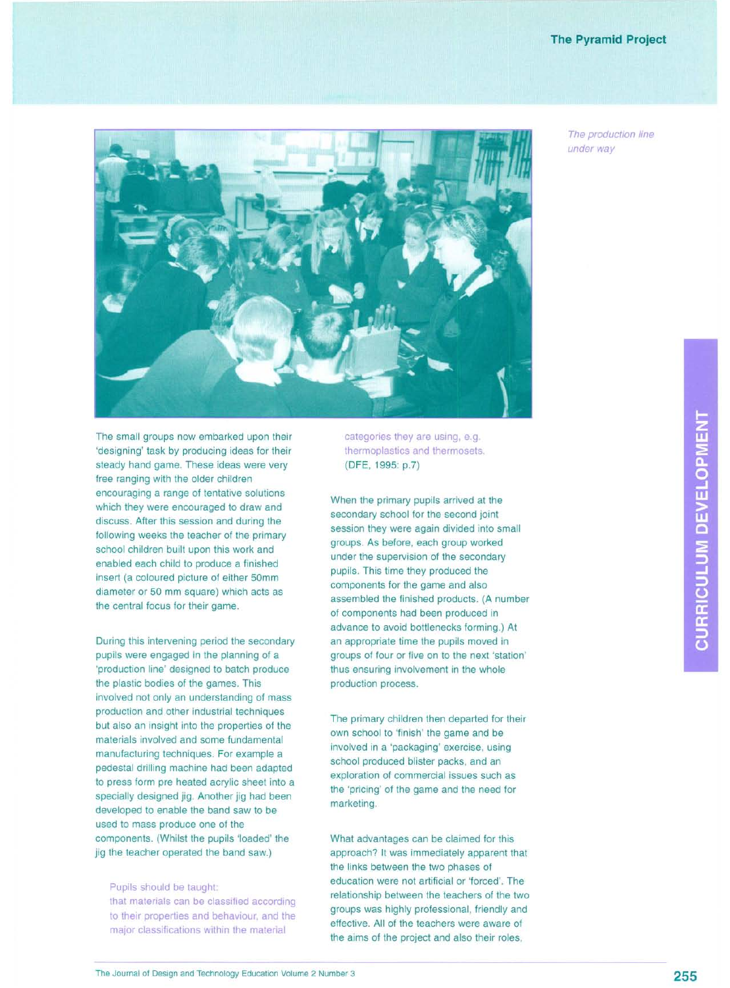## **The Pyramid Project**

*The production line under way*



The small groups now embarked upon their 'designing' task by producing ideas for their steady hand game. These ideas were very free ranging with the older children encouraging a range of tentative solutions which they were encouraged to draw and discuss. After this session and during the following weeks the teacher of the primary school children built upon this work and enabled each child to produce a finished insert (a coloured picture of either 50mm diameter or 50 mm square) which acts as the central focus for their game.

During this intervening period the secondary pupils were engaged in the planning of a 'production line' designed to batch produce the plastic bodies of the games. This involved not only an understanding of mass production and other industrial techniques but also an insight into the properties of the materials involved and some fundamental manufacturing techniques. For example a pedestal drilling machine had been adapted to press form pre heated acrylic sheet into a specially designed jig. Another jig had been developed to enable the band saw to be used to mass produce one of the components. (Whilst the pupils 'loaded' the jig the teacher operated the band saw.)

Pupils should be taught: that materials can be classified according to their properties and behaviour, and the major classifications within the material

categories they are using, e.g. thermoplastics and thermosets. (DFE, 1995: p.?)

When the primary pupils arrived at the secondary school for the second joint session they were again divided into small groups. As before, each group worked under the supervision of the secondary pupils. This time they produced the components for the game and also assembled the finished products. (A number of components had been produced in advance to avoid bottlenecks forming.) At an appropriate time the pupils moved in groups of four or five on to the next 'station' thus ensuring involvement in the whole production process.

The primary children then departed for their own school to 'finish' the game and be involved in a 'packaging' exercise, using school produced blister packs, and an exploration of commercial issues such as the 'pricing' of the game and the need for marketing.

What advantages can be claimed for this approach? It was immediately apparent that the links between the two phases of education were not artificial or 'forced'. The relationship between the teachers of the two groups was highly professional, friendly and effective. All of the teachers were aware of the aims of the project and also their roles,